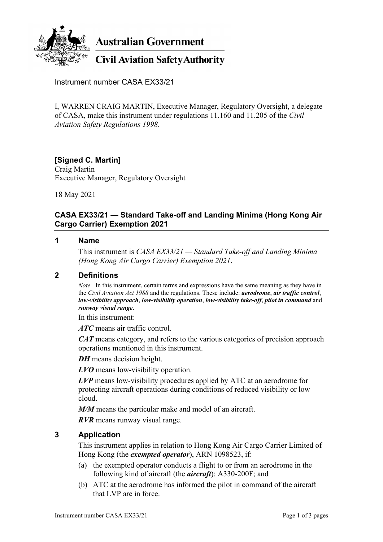

**Australian Government** 

# **Civil Aviation Safety Authority**

Instrument number CASA EX33/21

I, WARREN CRAIG MARTIN, Executive Manager, Regulatory Oversight, a delegate of CASA, make this instrument under regulations 11.160 and 11.205 of the *Civil Aviation Safety Regulations 1998*.

# **[Signed C. Martin]**

Craig Martin Executive Manager, Regulatory Oversight

18 May 2021

## **CASA EX33/21 — Standard Take-off and Landing Minima (Hong Kong Air Cargo Carrier) Exemption 2021**

#### **1 Name**

This instrument is *CASA EX33/21 — Standard Take-off and Landing Minima (Hong Kong Air Cargo Carrier) Exemption 2021*.

#### **2 Definitions**

*Note* In this instrument, certain terms and expressions have the same meaning as they have in the *Civil Aviation Act 1988* and the regulations. These include: *aerodrome*, *air traffic control*, *low-visibility approach*, *low-visibility operation*, *low-visibility take-off*, *pilot in command* and *runway visual range*.

In this instrument:

*ATC* means air traffic control.

*CAT* means category, and refers to the various categories of precision approach operations mentioned in this instrument.

*DH* means decision height.

*LVO* means low-visibility operation.

*LVP* means low-visibility procedures applied by ATC at an aerodrome for protecting aircraft operations during conditions of reduced visibility or low cloud.

*M/M* means the particular make and model of an aircraft.

*RVR* means runway visual range.

## **3 Application**

This instrument applies in relation to Hong Kong Air Cargo Carrier Limited of Hong Kong (the *exempted operator*), ARN 1098523, if:

- (a) the exempted operator conducts a flight to or from an aerodrome in the following kind of aircraft (the *aircraft*): A330-200F; and
- (b) ATC at the aerodrome has informed the pilot in command of the aircraft that LVP are in force.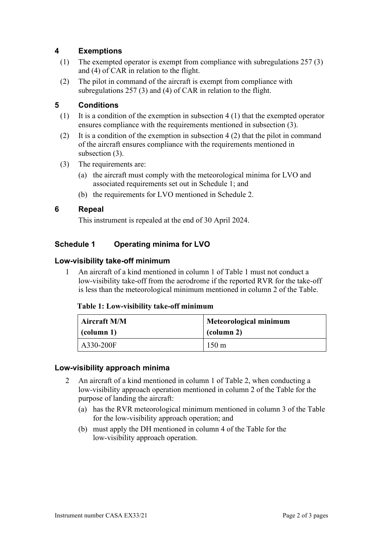## **4 Exemptions**

- (1) The exempted operator is exempt from compliance with subregulations 257 (3) and (4) of CAR in relation to the flight.
- (2) The pilot in command of the aircraft is exempt from compliance with subregulations 257 (3) and (4) of CAR in relation to the flight.

## **5 Conditions**

- (1) It is a condition of the exemption in subsection 4 (1) that the exempted operator ensures compliance with the requirements mentioned in subsection (3).
- (2) It is a condition of the exemption in subsection 4 (2) that the pilot in command of the aircraft ensures compliance with the requirements mentioned in subsection (3).
- (3) The requirements are:
	- (a) the aircraft must comply with the meteorological minima for LVO and associated requirements set out in Schedule 1; and
	- (b) the requirements for LVO mentioned in Schedule 2.

## **6 Repeal**

This instrument is repealed at the end of 30 April 2024.

## **Schedule 1 Operating minima for LVO**

#### **Low-visibility take-off minimum**

1 An aircraft of a kind mentioned in column 1 of Table 1 must not conduct a low-visibility take-off from the aerodrome if the reported RVR for the take-off is less than the meteorological minimum mentioned in column 2 of the Table.

#### **Table 1: Low-visibility take-off minimum**

| Aircraft M/M        | <b>Meteorological minimum</b> |  |
|---------------------|-------------------------------|--|
| $\left($ (column 1) | $\vert$ (column 2)            |  |
| A330-200F           | $150 \text{ m}$               |  |

#### **Low-visibility approach minima**

- 2 An aircraft of a kind mentioned in column 1 of Table 2, when conducting a low-visibility approach operation mentioned in column 2 of the Table for the purpose of landing the aircraft:
	- (a) has the RVR meteorological minimum mentioned in column 3 of the Table for the low-visibility approach operation; and
	- (b) must apply the DH mentioned in column 4 of the Table for the low-visibility approach operation.